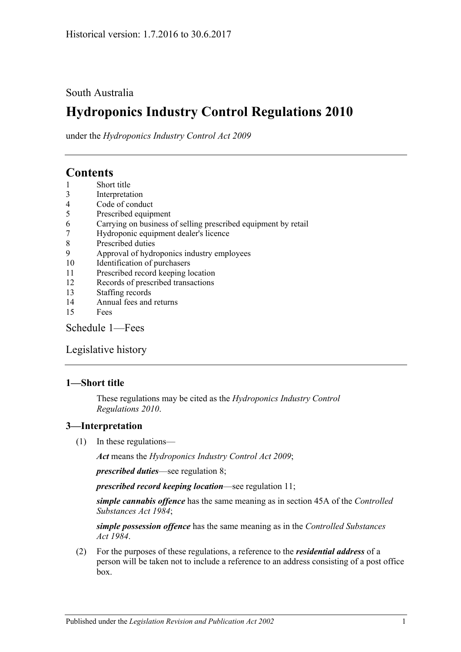### South Australia

# **Hydroponics Industry Control Regulations 2010**

under the *Hydroponics Industry Control Act 2009*

## **Contents**

- 1 [Short title](#page-0-0)
- 3 [Interpretation](#page-0-1)
- 4 [Code of conduct](#page-1-0)
- 5 [Prescribed equipment](#page-1-1)
- 6 [Carrying on business of selling prescribed equipment by retail](#page-1-2)
- 7 [Hydroponic equipment dealer's licence](#page-1-3)
- 8 [Prescribed duties](#page-2-0)
- 9 [Approval of hydroponics industry employees](#page-2-1)
- 10 [Identification of purchasers](#page-3-0)
- 11 [Prescribed record keeping location](#page-4-0)
- 12 [Records of prescribed transactions](#page-4-1)
- 13 [Staffing records](#page-5-0)
- 14 [Annual fees and returns](#page-5-1)
- 15 [Fees](#page-6-0)

[Schedule](#page-6-1) 1—Fees

[Legislative history](#page-7-0)

#### <span id="page-0-0"></span>**1—Short title**

These regulations may be cited as the *Hydroponics Industry Control Regulations 2010*.

#### <span id="page-0-1"></span>**3—Interpretation**

(1) In these regulations—

*Act* means the *[Hydroponics Industry Control Act](http://www.legislation.sa.gov.au/index.aspx?action=legref&type=act&legtitle=Hydroponics%20Industry%20Control%20Act%202009) 2009*;

*prescribed duties*—see [regulation](#page-2-0) 8;

*prescribed record keeping location*—see [regulation](#page-4-0) 11;

*simple cannabis offence* has the same meaning as in section 45A of the *[Controlled](http://www.legislation.sa.gov.au/index.aspx?action=legref&type=act&legtitle=Controlled%20Substances%20Act%201984)  [Substances Act](http://www.legislation.sa.gov.au/index.aspx?action=legref&type=act&legtitle=Controlled%20Substances%20Act%201984) 1984*;

*simple possession offence* has the same meaning as in the *[Controlled Substances](http://www.legislation.sa.gov.au/index.aspx?action=legref&type=act&legtitle=Controlled%20Substances%20Act%201984)  Act [1984](http://www.legislation.sa.gov.au/index.aspx?action=legref&type=act&legtitle=Controlled%20Substances%20Act%201984)*.

(2) For the purposes of these regulations, a reference to the *residential address* of a person will be taken not to include a reference to an address consisting of a post office box.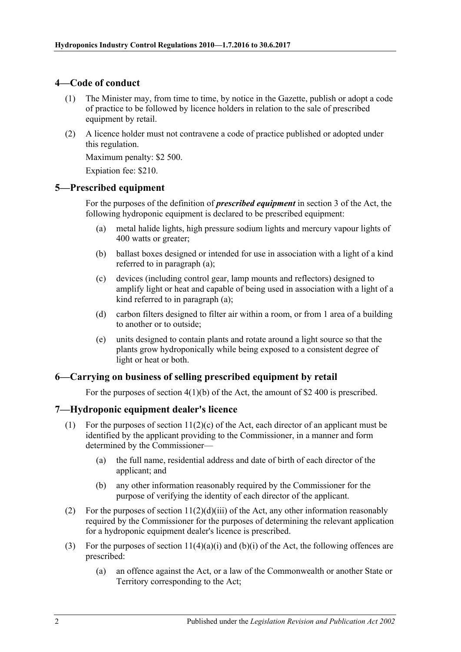#### <span id="page-1-0"></span>**4—Code of conduct**

- (1) The Minister may, from time to time, by notice in the Gazette, publish or adopt a code of practice to be followed by licence holders in relation to the sale of prescribed equipment by retail.
- (2) A licence holder must not contravene a code of practice published or adopted under this regulation.

Maximum penalty: \$2 500.

Expiation fee: \$210.

#### <span id="page-1-4"></span><span id="page-1-1"></span>**5—Prescribed equipment**

For the purposes of the definition of *prescribed equipment* in section 3 of the Act, the following hydroponic equipment is declared to be prescribed equipment:

- (a) metal halide lights, high pressure sodium lights and mercury vapour lights of 400 watts or greater;
- (b) ballast boxes designed or intended for use in association with a light of a kind referred to in [paragraph](#page-1-4) (a);
- (c) devices (including control gear, lamp mounts and reflectors) designed to amplify light or heat and capable of being used in association with a light of a kind referred to in [paragraph](#page-1-4) (a);
- (d) carbon filters designed to filter air within a room, or from 1 area of a building to another or to outside;
- (e) units designed to contain plants and rotate around a light source so that the plants grow hydroponically while being exposed to a consistent degree of light or heat or both.

#### <span id="page-1-2"></span>**6—Carrying on business of selling prescribed equipment by retail**

For the purposes of section 4(1)(b) of the Act, the amount of \$2 400 is prescribed.

#### <span id="page-1-3"></span>**7—Hydroponic equipment dealer's licence**

- (1) For the purposes of section  $11(2)(c)$  of the Act, each director of an applicant must be identified by the applicant providing to the Commissioner, in a manner and form determined by the Commissioner—
	- (a) the full name, residential address and date of birth of each director of the applicant; and
	- (b) any other information reasonably required by the Commissioner for the purpose of verifying the identity of each director of the applicant.
- (2) For the purposes of section  $11(2)(d)(iii)$  of the Act, any other information reasonably required by the Commissioner for the purposes of determining the relevant application for a hydroponic equipment dealer's licence is prescribed.
- (3) For the purposes of section  $11(4)(a)(i)$  and  $(b)(i)$  of the Act, the following offences are prescribed:
	- (a) an offence against the Act, or a law of the Commonwealth or another State or Territory corresponding to the Act;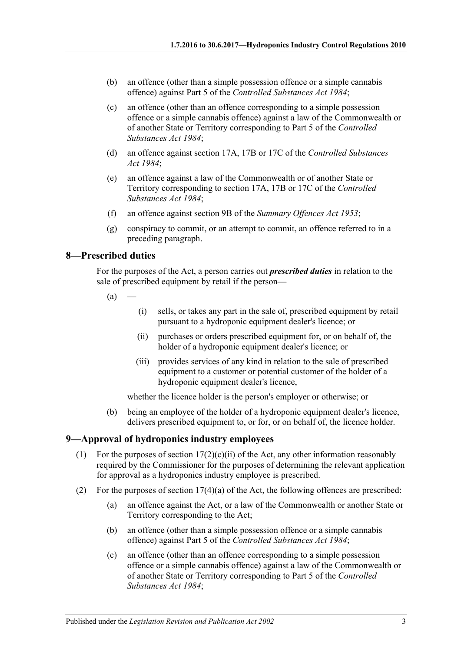- (b) an offence (other than a simple possession offence or a simple cannabis offence) against Part 5 of the *[Controlled Substances Act](http://www.legislation.sa.gov.au/index.aspx?action=legref&type=act&legtitle=Controlled%20Substances%20Act%201984) 1984*;
- (c) an offence (other than an offence corresponding to a simple possession offence or a simple cannabis offence) against a law of the Commonwealth or of another State or Territory corresponding to Part 5 of the *[Controlled](http://www.legislation.sa.gov.au/index.aspx?action=legref&type=act&legtitle=Controlled%20Substances%20Act%201984)  [Substances Act](http://www.legislation.sa.gov.au/index.aspx?action=legref&type=act&legtitle=Controlled%20Substances%20Act%201984) 1984*;
- (d) an offence against section 17A, 17B or 17C of the *[Controlled Substances](http://www.legislation.sa.gov.au/index.aspx?action=legref&type=act&legtitle=Controlled%20Substances%20Act%201984)  Act [1984](http://www.legislation.sa.gov.au/index.aspx?action=legref&type=act&legtitle=Controlled%20Substances%20Act%201984)*;
- (e) an offence against a law of the Commonwealth or of another State or Territory corresponding to section 17A, 17B or 17C of the *[Controlled](http://www.legislation.sa.gov.au/index.aspx?action=legref&type=act&legtitle=Controlled%20Substances%20Act%201984)  [Substances Act](http://www.legislation.sa.gov.au/index.aspx?action=legref&type=act&legtitle=Controlled%20Substances%20Act%201984) 1984*;
- (f) an offence against section 9B of the *[Summary Offences Act](http://www.legislation.sa.gov.au/index.aspx?action=legref&type=act&legtitle=Summary%20Offences%20Act%201953) 1953*;
- (g) conspiracy to commit, or an attempt to commit, an offence referred to in a preceding paragraph.

#### <span id="page-2-0"></span>**8—Prescribed duties**

For the purposes of the Act, a person carries out *prescribed duties* in relation to the sale of prescribed equipment by retail if the person—

- $(a)$
- (i) sells, or takes any part in the sale of, prescribed equipment by retail pursuant to a hydroponic equipment dealer's licence; or
- (ii) purchases or orders prescribed equipment for, or on behalf of, the holder of a hydroponic equipment dealer's licence; or
- (iii) provides services of any kind in relation to the sale of prescribed equipment to a customer or potential customer of the holder of a hydroponic equipment dealer's licence,

whether the licence holder is the person's employer or otherwise; or

(b) being an employee of the holder of a hydroponic equipment dealer's licence, delivers prescribed equipment to, or for, or on behalf of, the licence holder.

#### <span id="page-2-1"></span>**9—Approval of hydroponics industry employees**

- (1) For the purposes of section  $17(2)(c)(ii)$  of the Act, any other information reasonably required by the Commissioner for the purposes of determining the relevant application for approval as a hydroponics industry employee is prescribed.
- (2) For the purposes of section 17(4)(a) of the Act, the following offences are prescribed:
	- (a) an offence against the Act, or a law of the Commonwealth or another State or Territory corresponding to the Act;
	- (b) an offence (other than a simple possession offence or a simple cannabis offence) against Part 5 of the *[Controlled Substances Act](http://www.legislation.sa.gov.au/index.aspx?action=legref&type=act&legtitle=Controlled%20Substances%20Act%201984) 1984*;
	- (c) an offence (other than an offence corresponding to a simple possession offence or a simple cannabis offence) against a law of the Commonwealth or of another State or Territory corresponding to Part 5 of the *[Controlled](http://www.legislation.sa.gov.au/index.aspx?action=legref&type=act&legtitle=Controlled%20Substances%20Act%201984)  [Substances Act](http://www.legislation.sa.gov.au/index.aspx?action=legref&type=act&legtitle=Controlled%20Substances%20Act%201984) 1984*;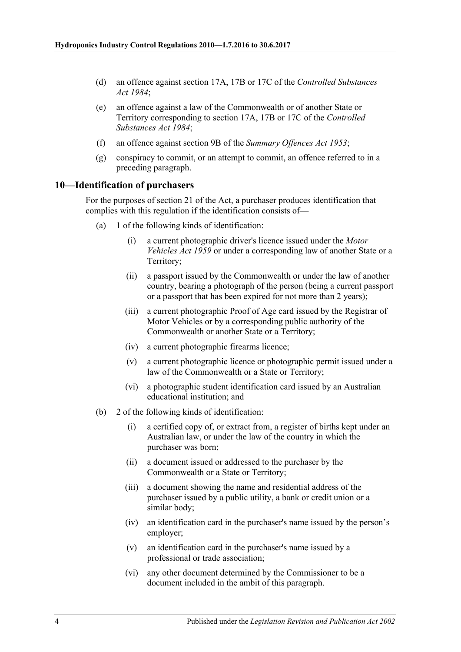- (d) an offence against section 17A, 17B or 17C of the *[Controlled Substances](http://www.legislation.sa.gov.au/index.aspx?action=legref&type=act&legtitle=Controlled%20Substances%20Act%201984)  Act [1984](http://www.legislation.sa.gov.au/index.aspx?action=legref&type=act&legtitle=Controlled%20Substances%20Act%201984)*;
- (e) an offence against a law of the Commonwealth or of another State or Territory corresponding to section 17A, 17B or 17C of the *[Controlled](http://www.legislation.sa.gov.au/index.aspx?action=legref&type=act&legtitle=Controlled%20Substances%20Act%201984)  [Substances Act](http://www.legislation.sa.gov.au/index.aspx?action=legref&type=act&legtitle=Controlled%20Substances%20Act%201984) 1984*;
- (f) an offence against section 9B of the *[Summary Offences Act](http://www.legislation.sa.gov.au/index.aspx?action=legref&type=act&legtitle=Summary%20Offences%20Act%201953) 1953*;
- (g) conspiracy to commit, or an attempt to commit, an offence referred to in a preceding paragraph.

#### <span id="page-3-0"></span>**10—Identification of purchasers**

For the purposes of section 21 of the Act, a purchaser produces identification that complies with this regulation if the identification consists of—

- (a) 1 of the following kinds of identification:
	- (i) a current photographic driver's licence issued under the *[Motor](http://www.legislation.sa.gov.au/index.aspx?action=legref&type=act&legtitle=Motor%20Vehicles%20Act%201959)  [Vehicles Act](http://www.legislation.sa.gov.au/index.aspx?action=legref&type=act&legtitle=Motor%20Vehicles%20Act%201959) 1959* or under a corresponding law of another State or a Territory;
	- (ii) a passport issued by the Commonwealth or under the law of another country, bearing a photograph of the person (being a current passport or a passport that has been expired for not more than 2 years);
	- (iii) a current photographic Proof of Age card issued by the Registrar of Motor Vehicles or by a corresponding public authority of the Commonwealth or another State or a Territory;
	- (iv) a current photographic firearms licence;
	- (v) a current photographic licence or photographic permit issued under a law of the Commonwealth or a State or Territory;
	- (vi) a photographic student identification card issued by an Australian educational institution; and
- (b) 2 of the following kinds of identification:
	- (i) a certified copy of, or extract from, a register of births kept under an Australian law, or under the law of the country in which the purchaser was born;
	- (ii) a document issued or addressed to the purchaser by the Commonwealth or a State or Territory;
	- (iii) a document showing the name and residential address of the purchaser issued by a public utility, a bank or credit union or a similar body;
	- (iv) an identification card in the purchaser's name issued by the person's employer;
	- (v) an identification card in the purchaser's name issued by a professional or trade association;
	- (vi) any other document determined by the Commissioner to be a document included in the ambit of this paragraph.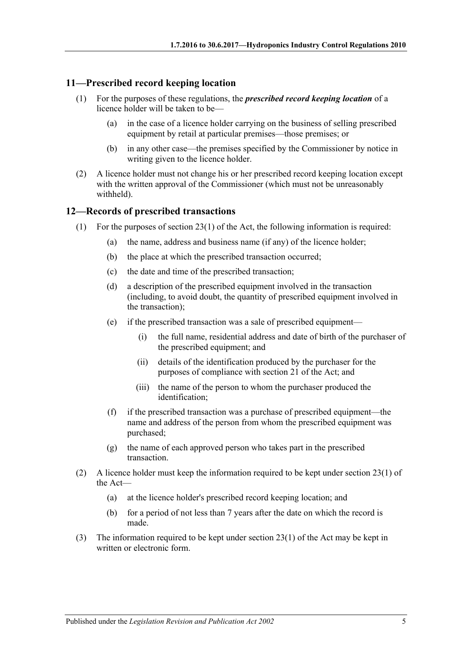#### <span id="page-4-0"></span>**11—Prescribed record keeping location**

- (1) For the purposes of these regulations, the *prescribed record keeping location* of a licence holder will be taken to be—
	- (a) in the case of a licence holder carrying on the business of selling prescribed equipment by retail at particular premises—those premises; or
	- (b) in any other case—the premises specified by the Commissioner by notice in writing given to the licence holder.
- (2) A licence holder must not change his or her prescribed record keeping location except with the written approval of the Commissioner (which must not be unreasonably withheld).

#### <span id="page-4-1"></span>**12—Records of prescribed transactions**

- <span id="page-4-5"></span><span id="page-4-4"></span><span id="page-4-2"></span>(1) For the purposes of section 23(1) of the Act, the following information is required:
	- (a) the name, address and business name (if any) of the licence holder;
	- (b) the place at which the prescribed transaction occurred;
	- (c) the date and time of the prescribed transaction;
	- (d) a description of the prescribed equipment involved in the transaction (including, to avoid doubt, the quantity of prescribed equipment involved in the transaction);
	- (e) if the prescribed transaction was a sale of prescribed equipment—
		- (i) the full name, residential address and date of birth of the purchaser of the prescribed equipment; and
		- (ii) details of the identification produced by the purchaser for the purposes of compliance with section 21 of the Act; and
		- (iii) the name of the person to whom the purchaser produced the identification;
	- (f) if the prescribed transaction was a purchase of prescribed equipment—the name and address of the person from whom the prescribed equipment was purchased;
	- (g) the name of each approved person who takes part in the prescribed transaction.
- <span id="page-4-3"></span>(2) A licence holder must keep the information required to be kept under section 23(1) of the Act—
	- (a) at the licence holder's prescribed record keeping location; and
	- (b) for a period of not less than 7 years after the date on which the record is made.
- (3) The information required to be kept under section 23(1) of the Act may be kept in written or electronic form.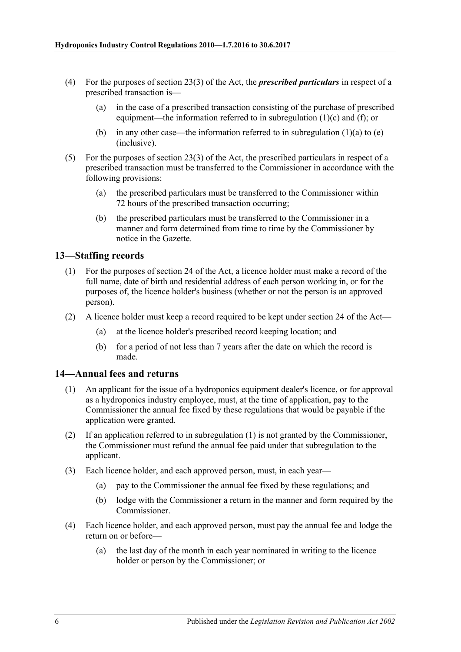- (4) For the purposes of section 23(3) of the Act, the *prescribed particulars* in respect of a prescribed transaction is—
	- (a) in the case of a prescribed transaction consisting of the purchase of prescribed equipment—the information referred to in [subregulation](#page-4-2) (1)(c) and [\(f\);](#page-4-3) or
	- (b) in any other case—the information referred to in [subregulation](#page-4-4)  $(1)(a)$  to  $(e)$ (inclusive).
- (5) For the purposes of section 23(3) of the Act, the prescribed particulars in respect of a prescribed transaction must be transferred to the Commissioner in accordance with the following provisions:
	- (a) the prescribed particulars must be transferred to the Commissioner within 72 hours of the prescribed transaction occurring;
	- (b) the prescribed particulars must be transferred to the Commissioner in a manner and form determined from time to time by the Commissioner by notice in the Gazette.

#### <span id="page-5-0"></span>**13—Staffing records**

- (1) For the purposes of section 24 of the Act, a licence holder must make a record of the full name, date of birth and residential address of each person working in, or for the purposes of, the licence holder's business (whether or not the person is an approved person).
- (2) A licence holder must keep a record required to be kept under section 24 of the Act—
	- (a) at the licence holder's prescribed record keeping location; and
	- (b) for a period of not less than 7 years after the date on which the record is made.

#### <span id="page-5-2"></span><span id="page-5-1"></span>**14—Annual fees and returns**

- (1) An applicant for the issue of a hydroponics equipment dealer's licence, or for approval as a hydroponics industry employee, must, at the time of application, pay to the Commissioner the annual fee fixed by these regulations that would be payable if the application were granted.
- (2) If an application referred to in [subregulation](#page-5-2) (1) is not granted by the Commissioner, the Commissioner must refund the annual fee paid under that subregulation to the applicant.
- (3) Each licence holder, and each approved person, must, in each year—
	- (a) pay to the Commissioner the annual fee fixed by these regulations; and
	- (b) lodge with the Commissioner a return in the manner and form required by the Commissioner.
- (4) Each licence holder, and each approved person, must pay the annual fee and lodge the return on or before—
	- (a) the last day of the month in each year nominated in writing to the licence holder or person by the Commissioner; or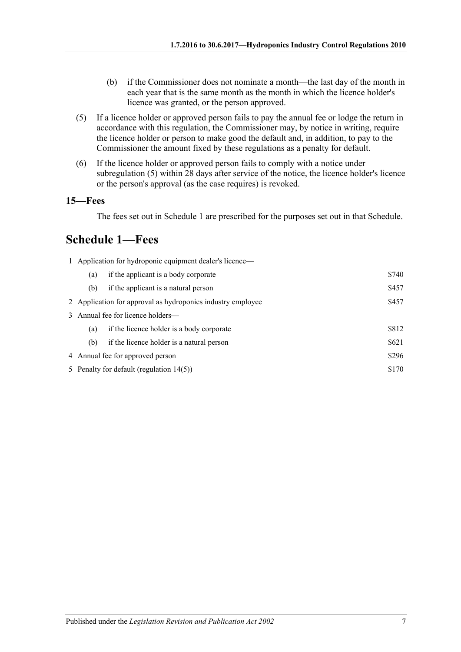- (b) if the Commissioner does not nominate a month—the last day of the month in each year that is the same month as the month in which the licence holder's licence was granted, or the person approved.
- <span id="page-6-2"></span>(5) If a licence holder or approved person fails to pay the annual fee or lodge the return in accordance with this regulation, the Commissioner may, by notice in writing, require the licence holder or person to make good the default and, in addition, to pay to the Commissioner the amount fixed by these regulations as a penalty for default.
- (6) If the licence holder or approved person fails to comply with a notice under [subregulation](#page-6-2) (5) within 28 days after service of the notice, the licence holder's licence or the person's approval (as the case requires) is revoked.

#### <span id="page-6-0"></span>**15—Fees**

The fees set out in [Schedule](#page-6-1) 1 are prescribed for the purposes set out in that Schedule.

# <span id="page-6-1"></span>**Schedule 1—Fees**

| 1 Application for hydroponic equipment dealer's licence— |                                                             |       |  |  |  |
|----------------------------------------------------------|-------------------------------------------------------------|-------|--|--|--|
| (a)                                                      | if the applicant is a body corporate                        | \$740 |  |  |  |
| (b)                                                      | if the applicant is a natural person                        | \$457 |  |  |  |
|                                                          | 2 Application for approval as hydroponics industry employee | \$457 |  |  |  |
|                                                          | 3 Annual fee for licence holders—                           |       |  |  |  |
| (a)                                                      | if the licence holder is a body corporate                   | \$812 |  |  |  |
| (b)                                                      | if the licence holder is a natural person                   | \$621 |  |  |  |
| \$296<br>4 Annual fee for approved person                |                                                             |       |  |  |  |
| \$170<br>5 Penalty for default (regulation $14(5)$ )     |                                                             |       |  |  |  |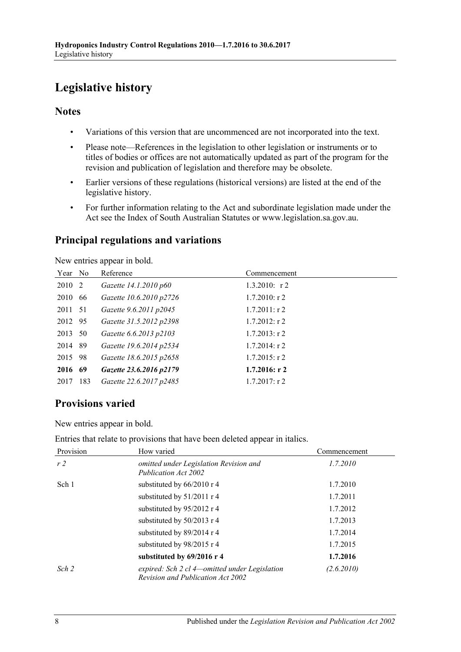# <span id="page-7-0"></span>**Legislative history**

#### **Notes**

- Variations of this version that are uncommenced are not incorporated into the text.
- Please note—References in the legislation to other legislation or instruments or to titles of bodies or offices are not automatically updated as part of the program for the revision and publication of legislation and therefore may be obsolete.
- Earlier versions of these regulations (historical versions) are listed at the end of the legislative history.
- For further information relating to the Act and subordinate legislation made under the Act see the Index of South Australian Statutes or www.legislation.sa.gov.au.

### **Principal regulations and variations**

New entries appear in bold.

| Year No |      | Reference               | Commencement     |
|---------|------|-------------------------|------------------|
| 2010 2  |      | Gazette 14.1.2010 p60   | $1.3.2010$ : r 2 |
| 2010    | 66   | Gazette 10.6.2010 p2726 | $1.7.2010$ : r 2 |
| 2011 51 |      | Gazette 9.6.2011 p2045  | $1.7.2011:$ r 2  |
| 2012 95 |      | Gazette 31.5.2012 p2398 | $1.7.2012$ : r 2 |
| 2013 50 |      | Gazette 6.6.2013 p2103  | $1.7.2013$ : r 2 |
| 2014    | - 89 | Gazette 19.6.2014 p2534 | $1.7.2014$ : r 2 |
| 2015    | 98   | Gazette 18.6.2015 p2658 | $1.7.2015$ : r 2 |
| 2016 69 |      | Gazette 23.6.2016 p2179 | $1.7.2016$ : r 2 |
| 2017    | 183  | Gazette 22.6.2017 p2485 | $1.7.2017$ : r 2 |
|         |      |                         |                  |

## **Provisions varied**

New entries appear in bold.

Entries that relate to provisions that have been deleted appear in italics.

| Provision      | How varied                                                                                | Commencement |
|----------------|-------------------------------------------------------------------------------------------|--------------|
| r <sub>2</sub> | omitted under Legislation Revision and<br>Publication Act 2002                            | 1.7.2010     |
| Sch 1          | substituted by 66/2010 r 4                                                                | 1.7.2010     |
|                | substituted by 51/2011 r 4                                                                | 1.7.2011     |
|                | substituted by 95/2012 r 4                                                                | 1.7.2012     |
|                | substituted by 50/2013 r 4                                                                | 1.7.2013     |
|                | substituted by 89/2014 r 4                                                                | 1.7.2014     |
|                | substituted by 98/2015 r 4                                                                | 1.7.2015     |
|                | substituted by $69/2016$ r 4                                                              | 1.7.2016     |
| Sch 2          | expired: Sch 2 cl 4—omitted under Legislation<br><b>Revision and Publication Act 2002</b> | (2.6.2010)   |